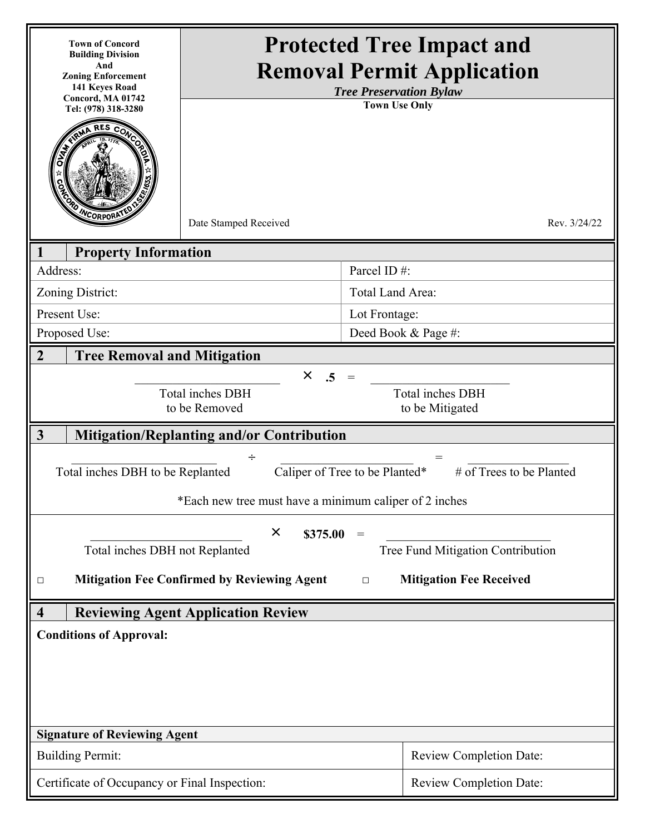| <b>Town of Concord</b><br><b>Building Division</b><br>And<br><b>Zoning Enforcement</b><br>141 Keyes Road<br>Concord, MA 01742<br>Tel: (978) 318-3280<br><b>ENCORPORAT</b> | Date Stamped Received                                   | <b>Protected Tree Impact and</b><br><b>Removal Permit Application</b><br><b>Tree Preservation Bylaw</b><br><b>Town Use Only</b> | Rev. 3/24/22 |  |
|---------------------------------------------------------------------------------------------------------------------------------------------------------------------------|---------------------------------------------------------|---------------------------------------------------------------------------------------------------------------------------------|--------------|--|
| <b>Property Information</b>                                                                                                                                               |                                                         |                                                                                                                                 |              |  |
| Address:                                                                                                                                                                  |                                                         | Parcel ID#:                                                                                                                     |              |  |
| Zoning District:                                                                                                                                                          |                                                         | Total Land Area:                                                                                                                |              |  |
| Present Use:                                                                                                                                                              |                                                         | Lot Frontage:                                                                                                                   |              |  |
| Proposed Use:                                                                                                                                                             |                                                         | Deed Book & Page #:                                                                                                             |              |  |
| $\overline{2}$<br><b>Tree Removal and Mitigation</b>                                                                                                                      |                                                         |                                                                                                                                 |              |  |
|                                                                                                                                                                           | $\times$ .5<br><b>Total inches DBH</b><br>to be Removed | <b>Total inches DBH</b><br>to be Mitigated                                                                                      |              |  |
| $\mathbf{3}$                                                                                                                                                              | <b>Mitigation/Replanting and/or Contribution</b>        |                                                                                                                                 |              |  |
| ÷<br>$=$<br># of Trees to be Planted<br>Caliper of Tree to be Planted*<br>Total inches DBH to be Replanted<br>*Each new tree must have a minimum caliper of 2 inches      |                                                         |                                                                                                                                 |              |  |
|                                                                                                                                                                           | $\times$                                                |                                                                                                                                 |              |  |
| \$375.00<br>$\!\!\!=\!\!\!$<br>Tree Fund Mitigation Contribution<br>Total inches DBH not Replanted                                                                        |                                                         |                                                                                                                                 |              |  |
| <b>Mitigation Fee Confirmed by Reviewing Agent</b><br><b>Mitigation Fee Received</b><br>$\Box$<br>$\Box$                                                                  |                                                         |                                                                                                                                 |              |  |
| <b>Reviewing Agent Application Review</b><br>$\overline{\mathbf{4}}$                                                                                                      |                                                         |                                                                                                                                 |              |  |
| <b>Conditions of Approval:</b>                                                                                                                                            |                                                         |                                                                                                                                 |              |  |
| <b>Signature of Reviewing Agent</b>                                                                                                                                       |                                                         |                                                                                                                                 |              |  |
| <b>Building Permit:</b>                                                                                                                                                   |                                                         | <b>Review Completion Date:</b>                                                                                                  |              |  |
| Certificate of Occupancy or Final Inspection:                                                                                                                             |                                                         | <b>Review Completion Date:</b>                                                                                                  |              |  |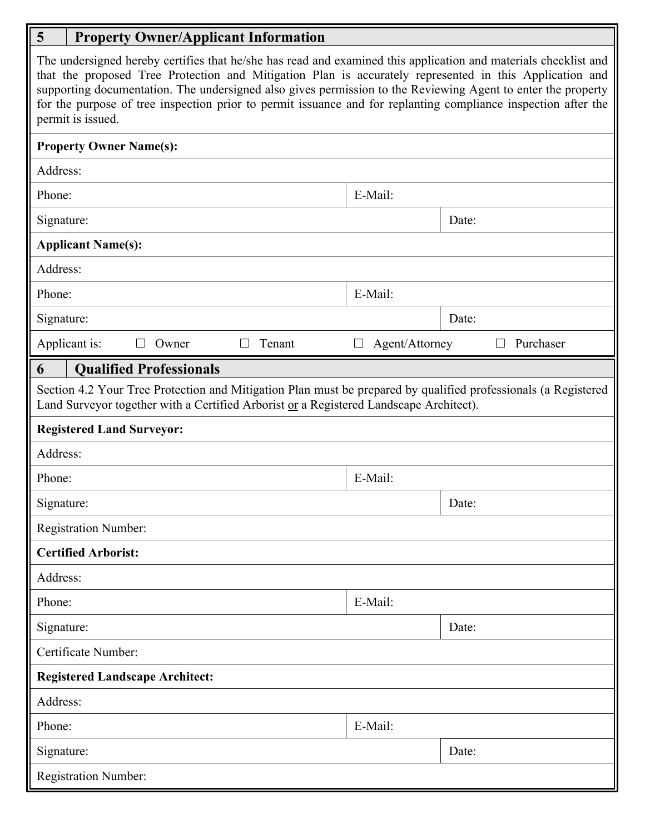## **5 Property Owner/Applicant Information**

| The undersigned hereby certifies that he/she has read and examined this application and materials checklist and<br>that the proposed Tree Protection and Mitigation Plan is accurately represented in this Application and<br>supporting documentation. The undersigned also gives permission to the Reviewing Agent to enter the property<br>for the purpose of tree inspection prior to permit issuance and for replanting compliance inspection after the<br>permit is issued. |                             |  |  |  |
|-----------------------------------------------------------------------------------------------------------------------------------------------------------------------------------------------------------------------------------------------------------------------------------------------------------------------------------------------------------------------------------------------------------------------------------------------------------------------------------|-----------------------------|--|--|--|
| <b>Property Owner Name(s):</b>                                                                                                                                                                                                                                                                                                                                                                                                                                                    |                             |  |  |  |
| Address:                                                                                                                                                                                                                                                                                                                                                                                                                                                                          |                             |  |  |  |
| Phone:                                                                                                                                                                                                                                                                                                                                                                                                                                                                            | E-Mail:                     |  |  |  |
| Signature:                                                                                                                                                                                                                                                                                                                                                                                                                                                                        | Date:                       |  |  |  |
| <b>Applicant Name(s):</b>                                                                                                                                                                                                                                                                                                                                                                                                                                                         |                             |  |  |  |
| Address:                                                                                                                                                                                                                                                                                                                                                                                                                                                                          |                             |  |  |  |
| Phone:                                                                                                                                                                                                                                                                                                                                                                                                                                                                            | E-Mail:                     |  |  |  |
| Signature:                                                                                                                                                                                                                                                                                                                                                                                                                                                                        | Date:                       |  |  |  |
| Applicant is:<br>Tenant<br>Owner                                                                                                                                                                                                                                                                                                                                                                                                                                                  | Agent/Attorney<br>Purchaser |  |  |  |
| <b>Qualified Professionals</b><br>6                                                                                                                                                                                                                                                                                                                                                                                                                                               |                             |  |  |  |
| Section 4.2 Your Tree Protection and Mitigation Plan must be prepared by qualified professionals (a Registered<br>Land Surveyor together with a Certified Arborist or a Registered Landscape Architect).                                                                                                                                                                                                                                                                          |                             |  |  |  |
| <b>Registered Land Surveyor:</b>                                                                                                                                                                                                                                                                                                                                                                                                                                                  |                             |  |  |  |
| Address:                                                                                                                                                                                                                                                                                                                                                                                                                                                                          |                             |  |  |  |
| Phone:                                                                                                                                                                                                                                                                                                                                                                                                                                                                            | E-Mail:                     |  |  |  |
| Signature:                                                                                                                                                                                                                                                                                                                                                                                                                                                                        | Date:                       |  |  |  |
| <b>Registration Number:</b>                                                                                                                                                                                                                                                                                                                                                                                                                                                       |                             |  |  |  |
| <b>Certified Arborist:</b>                                                                                                                                                                                                                                                                                                                                                                                                                                                        |                             |  |  |  |
| Address:                                                                                                                                                                                                                                                                                                                                                                                                                                                                          |                             |  |  |  |
| Phone:                                                                                                                                                                                                                                                                                                                                                                                                                                                                            | E-Mail:                     |  |  |  |
| Signature:                                                                                                                                                                                                                                                                                                                                                                                                                                                                        | Date:                       |  |  |  |
| Certificate Number:                                                                                                                                                                                                                                                                                                                                                                                                                                                               |                             |  |  |  |
| <b>Registered Landscape Architect:</b>                                                                                                                                                                                                                                                                                                                                                                                                                                            |                             |  |  |  |
| Address:                                                                                                                                                                                                                                                                                                                                                                                                                                                                          |                             |  |  |  |
| Phone:                                                                                                                                                                                                                                                                                                                                                                                                                                                                            | E-Mail:                     |  |  |  |
| Signature:                                                                                                                                                                                                                                                                                                                                                                                                                                                                        | Date:                       |  |  |  |
| <b>Registration Number:</b>                                                                                                                                                                                                                                                                                                                                                                                                                                                       |                             |  |  |  |